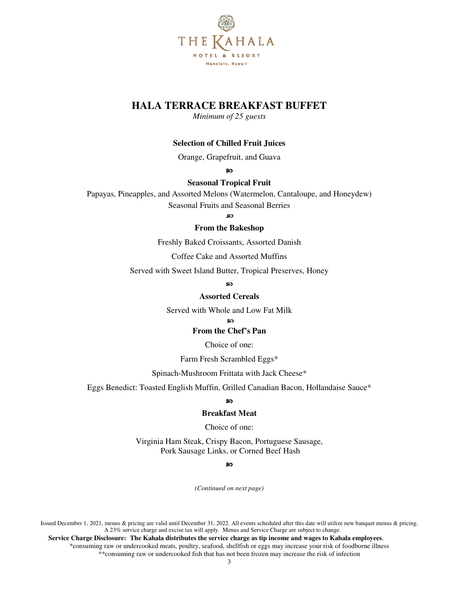

## **HALA TERRACE BREAKFAST BUFFET**

*Minimum of 25 guests* 

## **Selection of Chilled Fruit Juices**

Orange, Grapefruit, and Guava

ဢ

## **Seasonal Tropical Fruit**

Papayas, Pineapples, and Assorted Melons (Watermelon, Cantaloupe, and Honeydew) Seasonal Fruits and Seasonal Berries

മ

#### **From the Bakeshop**

Freshly Baked Croissants, Assorted Danish

Coffee Cake and Assorted Muffins

Served with Sweet Island Butter, Tropical Preserves, Honey

ഹ

### **Assorted Cereals**

Served with Whole and Low Fat Milk

 $\sim$ 

#### **From the Chef's Pan**

Choice of one:

Farm Fresh Scrambled Eggs\*

Spinach-Mushroom Frittata with Jack Cheese\*

Eggs Benedict: Toasted English Muffin, Grilled Canadian Bacon, Hollandaise Sauce\*

#### ഹ

#### **Breakfast Meat**

Choice of one:

Virginia Ham Steak, Crispy Bacon, Portuguese Sausage, Pork Sausage Links, or Corned Beef Hash

#### മ

*(Continued on next page)* 

Issued December 1, 2021, menus & pricing are valid until December 31, 2022. All events scheduled after this date will utilize new banquet menus & pricing. A 23% service charge and excise tax will apply. Menus and Service Charge are subject to change.

 **Service Charge Disclosure: The Kahala distributes the service charge as tip income and wages to Kahala employees**. \*consuming raw or undercooked meats, poultry, seafood, shellfish or eggs may increase your risk of foodborne illness \*\*consuming raw or undercooked fish that has not been frozen may increase the risk of infection